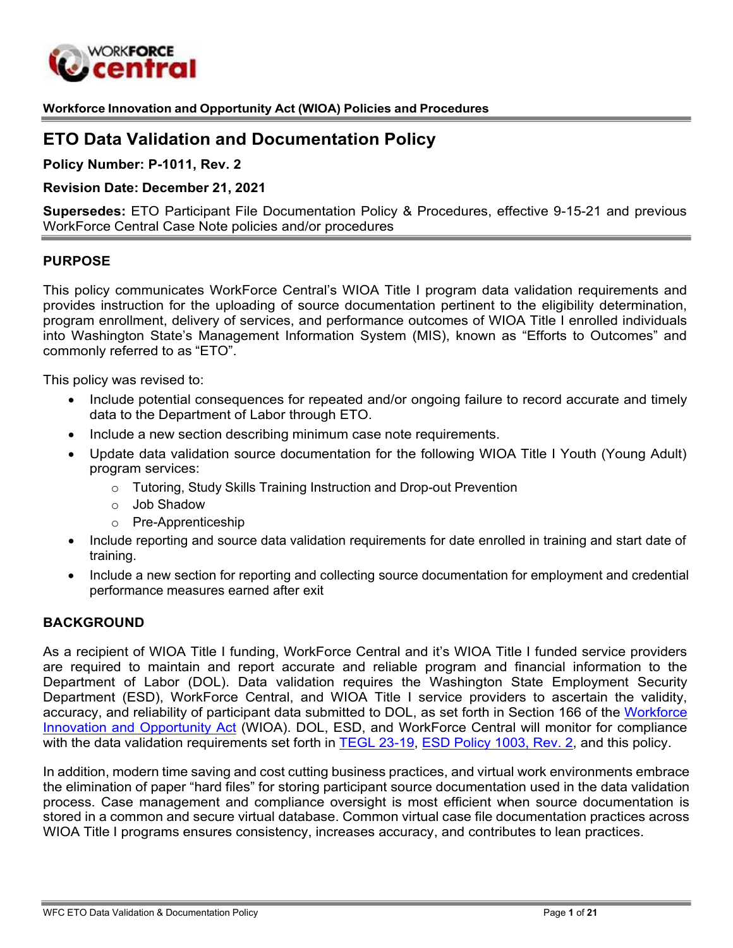

**Workforce Innovation and Opportunity Act (WIOA) Policies and Procedures**

# **ETO Data Validation and Documentation Policy**

**Policy Number: P-1011, Rev. 2**

#### **Revision Date: December 21, 2021**

**Supersedes:** ETO Participant File Documentation Policy & Procedures, effective 9-15-21 and previous WorkForce Central Case Note policies and/or procedures

#### **PURPOSE**

This policy communicates WorkForce Central's WIOA Title I program data validation requirements and provides instruction for the uploading of source documentation pertinent to the eligibility determination, program enrollment, delivery of services, and performance outcomes of WIOA Title I enrolled individuals into Washington State's Management Information System (MIS), known as "Efforts to Outcomes" and commonly referred to as "ETO".

This policy was revised to:

- Include potential consequences for repeated and/or ongoing failure to record accurate and timely data to the Department of Labor through ETO.
- Include a new section describing minimum case note requirements.
- Update data validation source documentation for the following WIOA Title I Youth (Young Adult) program services:
	- o Tutoring, Study Skills Training Instruction and Drop-out Prevention
	- o Job Shadow
	- o Pre-Apprenticeship
- Include reporting and source data validation requirements for date enrolled in training and start date of training.
- Include a new section for reporting and collecting source documentation for employment and credential performance measures earned after exit

#### **BACKGROUND**

As a recipient of WIOA Title I funding, WorkForce Central and it's WIOA Title I funded service providers are required to maintain and report accurate and reliable program and financial information to the Department of Labor (DOL). Data validation requires the Washington State Employment Security Department (ESD), WorkForce Central, and WIOA Title I service providers to ascertain the validity, accuracy, and reliability of participant data submitted to DOL, as set forth in Section 166 of the [Workforce](https://www.congress.gov/113/bills/hr803/BILLS-113hr803enr.pdf) [Innovation and Opportunity Act](https://www.congress.gov/113/bills/hr803/BILLS-113hr803enr.pdf) (WIOA). DOL, ESD, and WorkForce Central will monitor for compliance with the data validation requirements set forth in TEGL [23-19,](https://wdr.doleta.gov/directives/attach/TEGL/TEGL_23-19.pdf) ESD [Policy](https://storemultisites.blob.core.windows.net/media/WPC/adm/policy/1003-2-1.pdf) 1003, Rev. 2, and this policy.

In addition, modern time saving and cost cutting business practices, and virtual work environments embrace the elimination of paper "hard files" for storing participant source documentation used in the data validation process. Case management and compliance oversight is most efficient when source documentation is stored in a common and secure virtual database. Common virtual case file documentation practices across WIOA Title I programs ensures consistency, increases accuracy, and contributes to lean practices.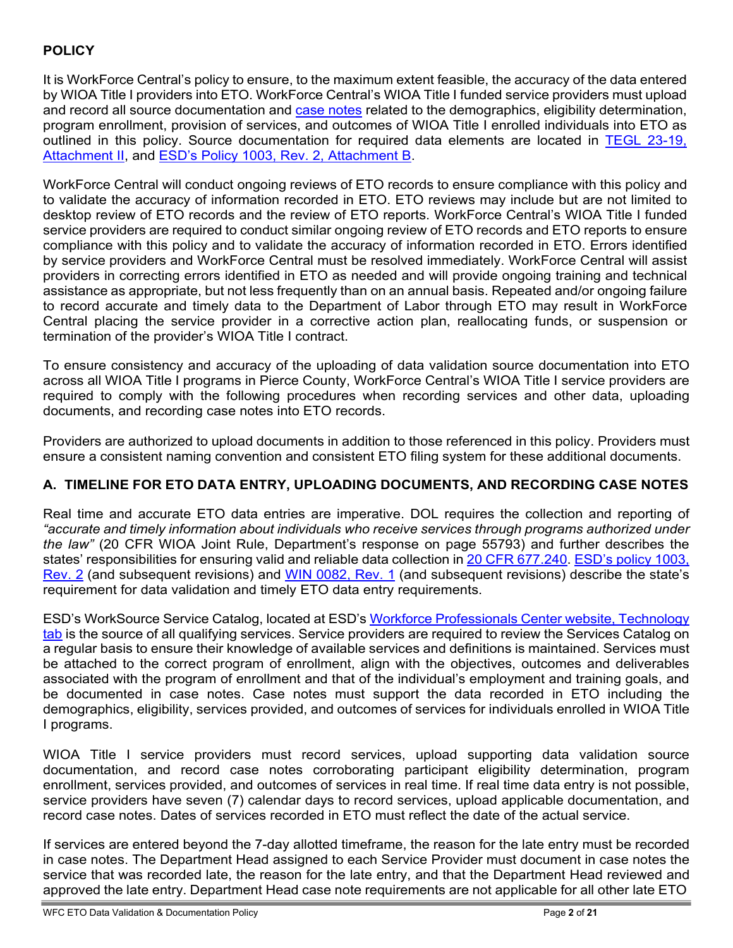# **POLICY**

It is WorkForce Central's policy to ensure, to the maximum extent feasible, the accuracy of the data entered by WIOA Title I providers into ETO. WorkForce Central's WIOA Title I funded service providers must upload and record all source documentation and case notes related to the demographics, eligibility determination, program enrollment, provision of services, and outcomes of WIOA Title I enrolled individuals into ETO as outlined in this policy. Source documentation for required data elements are located in [TEGL 23-19,](https://wdr.doleta.gov/directives/attach/TEGL/TEGL_23-19_Attachment_2.pdf) [Attachment II,](https://wdr.doleta.gov/directives/attach/TEGL/TEGL_23-19_Attachment_2.pdf) and [ESD's Policy 1003, Rev.](https://storemultisites.blob.core.windows.net/media/WPC/adm/policy/1003-2-1.pdf) 2, Attachment B.

WorkForce Central will conduct ongoing reviews of ETO records to ensure compliance with this policy and to validate the accuracy of information recorded in ETO. ETO reviews may include but are not limited to desktop review of ETO records and the review of ETO reports. WorkForce Central's WIOA Title I funded service providers are required to conduct similar ongoing review of ETO records and ETO reports to ensure compliance with this policy and to validate the accuracy of information recorded in ETO. Errors identified by service providers and WorkForce Central must be resolved immediately. WorkForce Central will assist providers in correcting errors identified in ETO as needed and will provide ongoing training and technical assistance as appropriate, but not less frequently than on an annual basis. Repeated and/or ongoing failure to record accurate and timely data to the Department of Labor through ETO may result in WorkForce Central placing the service provider in a corrective action plan, reallocating funds, or suspension or termination of the provider's WIOA Title I contract.

To ensure consistency and accuracy of the uploading of data validation source documentation into ETO across all WIOA Title I programs in Pierce County, WorkForce Central's WIOA Title I service providers are required to comply with the following procedures when recording services and other data, uploading documents, and recording case notes into ETO records.

Providers are authorized to upload documents in addition to those referenced in this policy. Providers must ensure a consistent naming convention and consistent ETO filing system for these additional documents.

### **A. TIMELINE FOR ETO DATA ENTRY, UPLOADING DOCUMENTS, AND RECORDING CASE NOTES**

Real time and accurate ETO data entries are imperative. DOL requires the collection and reporting of *"accurate and timely information about individuals who receive services through programs authorized under the law"* (20 CFR WIOA Joint Rule, Department's response on page 55793) and further describes the states' responsibilities for ensuring valid and reliable data collection in 20 CFR [677.240.](https://www.ecfr.gov/cgi-bin/text-idx?node=pt20.4.677&rgn=div5&se20.4.677_1240) [ESD's](https://storemultisites.blob.core.windows.net/media/WPC/adm/policy/1003-2-1.pdf) policy 1003, [Rev. 2](https://storemultisites.blob.core.windows.net/media/WPC/adm/policy/1003-2-1.pdf) (and subsequent revisions) and [WIN 0082, Rev. 1](https://storemultisites.blob.core.windows.net/media/WPC/adm/policy/0082-1.pdf) (and subsequent revisions) describe the state's requirement for data validation and timely ETO data entry requirements.

ESD's WorkSource Service Catalog, located at ESD's Workforce [Professionals](https://wpc.wa.gov/tech) Center website, Technology [tab](https://wpc.wa.gov/tech) is the source of all qualifying services. Service providers are required to review the Services Catalog on a regular basis to ensure their knowledge of available services and definitions is maintained. Services must be attached to the correct program of enrollment, align with the objectives, outcomes and deliverables associated with the program of enrollment and that of the individual's employment and training goals, and be documented in case notes. Case notes must support the data recorded in ETO including the demographics, eligibility, services provided, and outcomes of services for individuals enrolled in WIOA Title I programs.

WIOA Title I service providers must record services, upload supporting data validation source documentation, and record case notes corroborating participant eligibility determination, program enrollment, services provided, and outcomes of services in real time. If real time data entry is not possible, service providers have seven (7) calendar days to record services, upload applicable documentation, and record case notes. Dates of services recorded in ETO must reflect the date of the actual service.

If services are entered beyond the 7-day allotted timeframe, the reason for the late entry must be recorded in case notes. The Department Head assigned to each Service Provider must document in case notes the service that was recorded late, the reason for the late entry, and that the Department Head reviewed and approved the late entry. Department Head case note requirements are not applicable for all other late ETO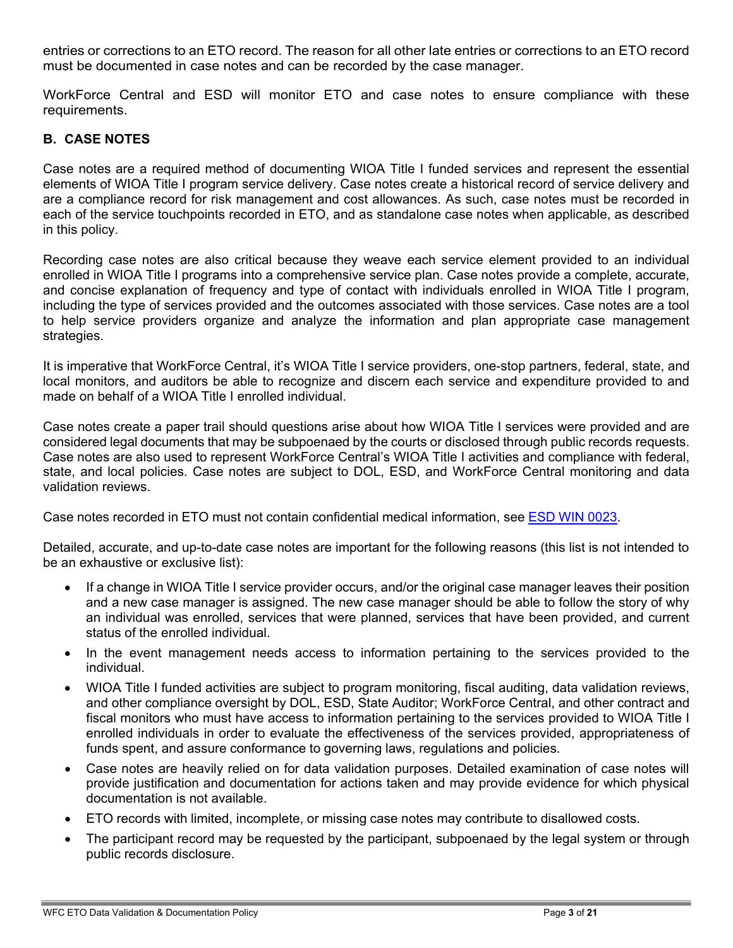entries or corrections to an ETO record. The reason for all other late entries or corrections to an ETO record must be documented in case notes and can be recorded by the case manager.

WorkForce Central and ESD will monitor ETO and case notes to ensure compliance with these requirements.

#### **B. CASE NOTES**

Case notes are a required method of documenting WIOA Title I funded services and represent the essential elements of WIOA Title I program service delivery. Case notes create a historical record of service delivery and are a compliance record for risk management and cost allowances. As such, case notes must be recorded in each of the service touchpoints recorded in ETO, and as standalone case notes when applicable, as described in this policy.

Recording case notes are also critical because they weave each service element provided to an individual enrolled in WIOA Title I programs into a comprehensive service plan. Case notes provide a complete, accurate, and concise explanation of frequency and type of contact with individuals enrolled in WIOA Title I program, including the type of services provided and the outcomes associated with those services. Case notes are a tool to help service providers organize and analyze the information and plan appropriate case management strategies.

It is imperative that WorkForce Central, it's WIOA Title I service providers, one-stop partners, federal, state, and local monitors, and auditors be able to recognize and discern each service and expenditure provided to and made on behalf of a WIOA Title I enrolled individual

Case notes create a paper trail should questions arise about how WIOA Title I services were provided and are considered legal documents that may be subpoenaed by the courts or disclosed through public records requests. Case notes are also used to represent WorkForce Central's WIOA Title I activities and compliance with federal, state, and local policies. Case notes are subject to DOL, ESD, and WorkForce Central monitoring and data validation reviews.

Case notes recorded in ETO must not contain confidential medical information, see ESD WIN [0023.](https://storemultisites.blob.core.windows.net/media/WPC/adm/policy/0023.pdf)

Detailed, accurate, and up-to-date case notes are important for the following reasons (this list is not intended to be an exhaustive or exclusive list):

- If a change in WIOA Title I service provider occurs, and/or the original case manager leaves their position and a new case manager is assigned. The new case manager should be able to follow the story of why an individual was enrolled, services that were planned, services that have been provided, and current status of the enrolled individual.
- In the event management needs access to information pertaining to the services provided to the individual.
- WIOA Title I funded activities are subject to program monitoring, fiscal auditing, data validation reviews, and other compliance oversight by DOL, ESD, State Auditor; WorkForce Central, and other contract and fiscal monitors who must have access to information pertaining to the services provided to WIOA Title I enrolled individuals in order to evaluate the effectiveness of the services provided, appropriateness of funds spent, and assure conformance to governing laws, regulations and policies.
- Case notes are heavily relied on for data validation purposes. Detailed examination of case notes will provide justification and documentation for actions taken and may provide evidence for which physical documentation is not available.
- ETO records with limited, incomplete, or missing case notes may contribute to disallowed costs.
- The participant record may be requested by the participant, subpoenaed by the legal system or through public records disclosure.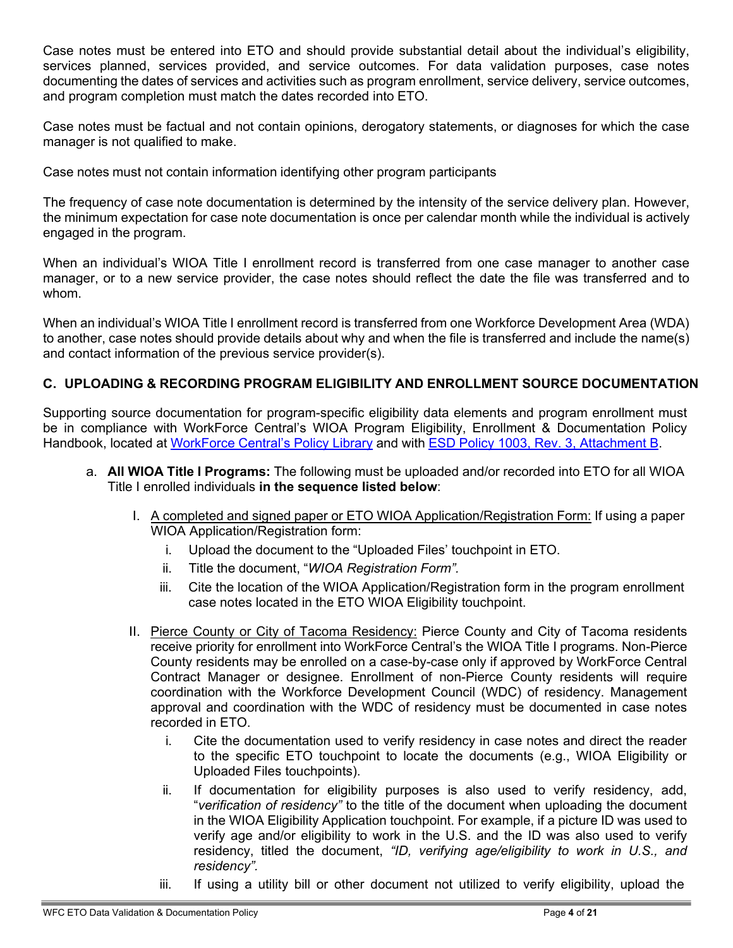Case notes must be entered into ETO and should provide substantial detail about the individual's eligibility, services planned, services provided, and service outcomes. For data validation purposes, case notes documenting the dates of services and activities such as program enrollment, service delivery, service outcomes, and program completion must match the dates recorded into ETO.

Case notes must be factual and not contain opinions, derogatory statements, or diagnoses for which the case manager is not qualified to make.

Case notes must not contain information identifying other program participants

The frequency of case note documentation is determined by the intensity of the service delivery plan. However, the minimum expectation for case note documentation is once per calendar month while the individual is actively engaged in the program.

When an individual's WIOA Title I enrollment record is transferred from one case manager to another case manager, or to a new service provider, the case notes should reflect the date the file was transferred and to whom.

When an individual's WIOA Title I enrollment record is transferred from one Workforce Development Area (WDA) to another, case notes should provide details about why and when the file is transferred and include the name(s) and contact information of the previous service provider(s).

### **C. UPLOADING & RECORDING PROGRAM ELIGIBILITY AND ENROLLMENT SOURCE DOCUMENTATION**

Supporting source documentation for program-specific eligibility data elements and program enrollment must be in compliance with WorkForce Central's WIOA Program Eligibility, Enrollment & Documentation Policy Handbook, located at [WorkForce](https://workforce-central.org/about/policies/) Central's Policy Library and with ESD Policy 1003, Rev. [3, Attachment](https://storemultisites.blob.core.windows.net/media/WPC/adm/policy/1003-2-1.pdf) B.

- a. **All WIOA Title I Programs:** The following must be uploaded and/or recorded into ETO for all WIOA Title I enrolled individuals **in the sequence listed below**:
	- I. A completed and signed paper or ETO WIOA Application/Registration Form: If using a paper WIOA Application/Registration form:
		- i. Upload the document to the "Uploaded Files' touchpoint in ETO.
		- ii. Title the document, "*WIOA Registration Form".*
		- iii. Cite the location of the WIOA Application/Registration form in the program enrollment case notes located in the ETO WIOA Eligibility touchpoint.
	- II. Pierce County or City of Tacoma Residency: Pierce County and City of Tacoma residents receive priority for enrollment into WorkForce Central's the WIOA Title I programs. Non-Pierce County residents may be enrolled on a case-by-case only if approved by WorkForce Central Contract Manager or designee. Enrollment of non-Pierce County residents will require coordination with the Workforce Development Council (WDC) of residency. Management approval and coordination with the WDC of residency must be documented in case notes recorded in ETO.
		- i. Cite the documentation used to verify residency in case notes and direct the reader to the specific ETO touchpoint to locate the documents (e.g., WIOA Eligibility or Uploaded Files touchpoints).
		- ii. If documentation for eligibility purposes is also used to verify residency, add, "*verification of residency"* to the title of the document when uploading the document in the WIOA Eligibility Application touchpoint. For example, if a picture ID was used to verify age and/or eligibility to work in the U.S. and the ID was also used to verify residency, titled the document, *"ID, verifying age/eligibility to work in U.S., and residency".*
		- iii. If using a utility bill or other document not utilized to verify eligibility, upload the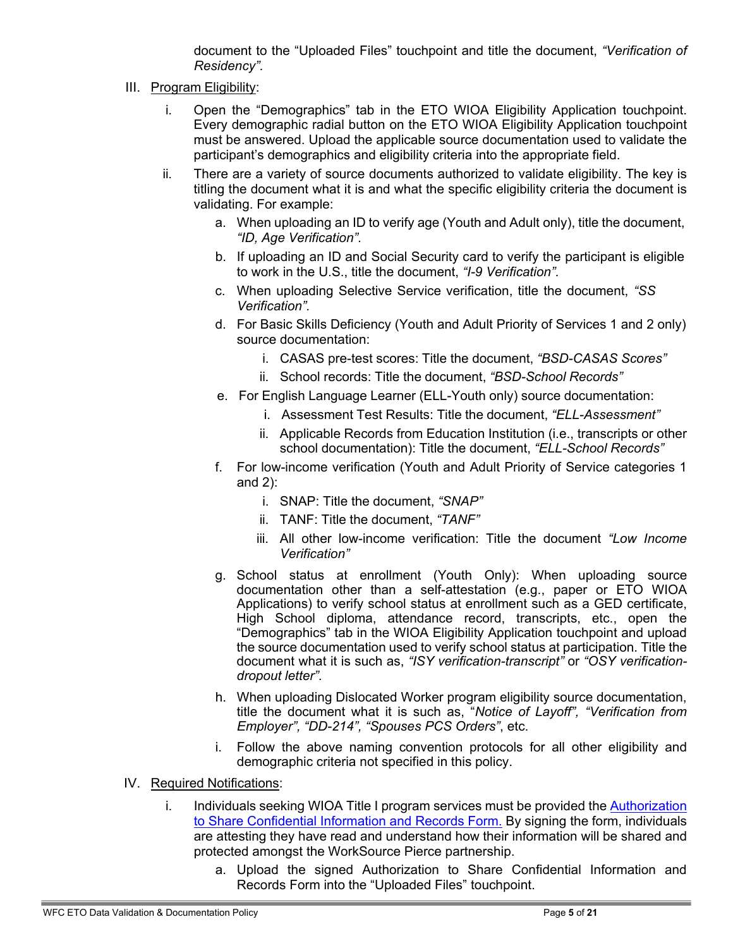<span id="page-4-3"></span><span id="page-4-1"></span>document to the "Uploaded Files" touchpoint and title the document, *"Verification of Residency".*

- <span id="page-4-2"></span><span id="page-4-0"></span>III. Program Eligibility:
	- i. Open the "Demographics" tab in the ETO WIOA Eligibility Application touchpoint. Every demographic radial button on the ETO WIOA Eligibility Application touchpoint must be answered. Upload the applicable source documentation used to validate the participant's demographics and eligibility criteria into the appropriate field.
	- ii. There are a variety of source documents authorized to validate eligibility. The key is titling the document what it is and what the specific eligibility criteria the document is validating. For example:
		- a. When uploading an ID to verify age (Youth and Adult only), title the document, *"ID, Age Verification".*
		- b. If uploading an ID and Social Security card to verify the participant is eligible to work in the U.S., title the document, *"I-9 Verification".*
		- c. When uploading Selective Service verification, title the document, *"SS Verification".*
		- d. For Basic Skills Deficiency (Youth and Adult Priority of Services 1 and 2 only) source documentation:
			- i. CASAS pre-test scores: Title the document, *"BSD-CASAS Scores"*
			- ii. School records: Title the document, *"BSD-School Records"*
		- e. For English Language Learner (ELL-Youth only) source documentation:
			- i. Assessment Test Results: Title the document, *"ELL-Assessment"*
			- ii. Applicable Records from Education Institution (i.e., transcripts or other school documentation): Title the document, *"ELL-School Records"*
		- f. For low-income verification (Youth and Adult Priority of Service categories 1 and 2):
			- i. SNAP: Title the document, *"SNAP"*
			- ii. TANF: Title the document, *"TANF"*
			- iii. All other low-income verification: Title the document *"Low Income Verification"*
		- g. School status at enrollment (Youth Only): When uploading source documentation other than a self-attestation (e.g., paper or ETO WIOA Applications) to verify school status at enrollment such as a GED certificate, High School diploma, attendance record, transcripts, etc., open the "Demographics" tab in the WIOA Eligibility Application touchpoint and upload the source documentation used to verify school status at participation. Title the document what it is such as, *"ISY verification-transcript"* or *"OSY verificationdropout letter".*
		- h. When uploading Dislocated Worker program eligibility source documentation, title the document what it is such as, "*Notice of Layoff", "Verification from Employer", "DD-214", "Spouses PCS Orders"*, etc.
		- i. Follow the above naming convention protocols for all other eligibility and demographic criteria not specified in this policy.
- IV. Required Notifications:
	- i. Individuals seeking WIOA Title I program services must be provided the [Authorization](https://workforce-central.org/wp-content/uploads/2021/04/authorization-to-share-confidential-information-and-records.pdf) to Share [Confidential](https://workforce-central.org/wp-content/uploads/2021/04/authorization-to-share-confidential-information-and-records.pdf) Information and Records Form. By signing the form, individuals are attesting they have read and understand how their information will be shared and protected amongst the WorkSource Pierce partnership.
		- a. Upload the signed Authorization to Share Confidential Information and Records Form into the "Uploaded Files" touchpoint.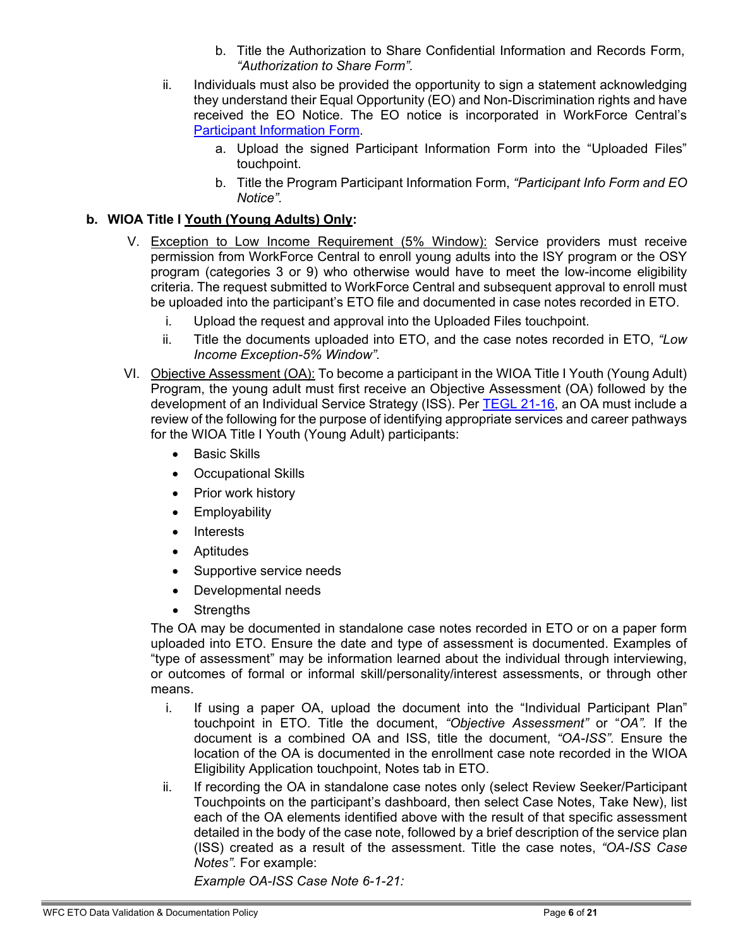- b. Title the Authorization to Share Confidential Information and Records Form, *"Authorization to Share Form".*
- ii. Individuals must also be provided the opportunity to sign a statement acknowledging they understand their Equal Opportunity (EO) and Non-Discrimination rights and have received the EO Notice. The EO notice is incorporated in WorkForce Central's Participant [Information Form.](https://workforce-central.org/wp-content/uploads/2021/10/program-participation-information-june-20211.pdf)
	- a. Upload the signed Participant Information Form into the "Uploaded Files" touchpoint.
	- b. Title the Program Participant Information Form, *"Participant Info Form and EO Notice".*

### **b. WIOA Title I Youth (Young Adults) Only:**

- V. Exception to Low Income Requirement (5% Window): Service providers must receive permission from WorkForce Central to enroll young adults into the ISY program or the OSY program (categories 3 or 9) who otherwise would have to meet the low-income eligibility criteria. The request submitted to WorkForce Central and subsequent approval to enroll must be uploaded into the participant's ETO file and documented in case notes recorded in ETO.
	- i. Upload the request and approval into the Uploaded Files touchpoint.
	- ii. Title the documents uploaded into ETO, and the case notes recorded in ETO, *"Low Income Exception-5% Window".*
- VI. Objective Assessment (OA): To become a participant in the WIOA Title I Youth (Young Adult) Program, the young adult must first receive an Objective Assessment (OA) followed by the development of an Individual Service Strategy (ISS). Per TEGL [21-16,](https://wdr.doleta.gov/directives/corr_doc.cfm?docn=7159) an OA must include a review of the following for the purpose of identifying appropriate services and career pathways for the WIOA Title I Youth (Young Adult) participants:
	- Basic Skills
	- Occupational Skills
	- Prior work history
	- Employability
	- Interests
	- Aptitudes
	- Supportive service needs
	- Developmental needs
	- Strengths

The OA may be documented in standalone case notes recorded in ETO or on a paper form uploaded into ETO. Ensure the date and type of assessment is documented. Examples of "type of assessment" may be information learned about the individual through interviewing, or outcomes of formal or informal skill/personality/interest assessments, or through other means.

- i. If using a paper OA, upload the document into the "Individual Participant Plan" touchpoint in ETO. Title the document, *"Objective Assessment"* or "*OA".* If the document is a combined OA and ISS, title the document, *"OA-ISS".* Ensure the location of the OA is documented in the enrollment case note recorded in the WIOA Eligibility Application touchpoint, Notes tab in ETO.
- ii. If recording the OA in standalone case notes only (select Review Seeker/Participant Touchpoints on the participant's dashboard, then select Case Notes, Take New), list each of the OA elements identified above with the result of that specific assessment detailed in the body of the case note, followed by a brief description of the service plan (ISS) created as a result of the assessment. Title the case notes, *"OA-ISS Case Notes".* For example:

*Example OA-ISS Case Note 6-1-21:*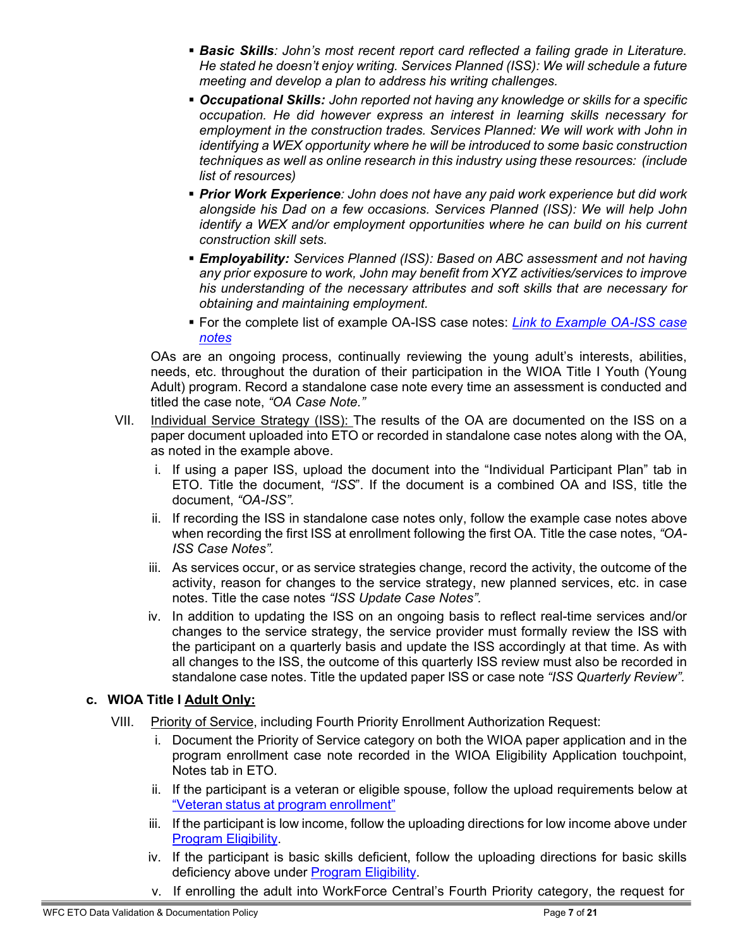- *Basic Skills: John's most recent report card reflected a failing grade in Literature. He stated he doesn't enjoy writing. Services Planned (ISS): We will schedule a future meeting and develop a plan to address his writing challenges.*
- *Occupational Skills: John reported not having any knowledge or skills for a specific occupation. He did however express an interest in learning skills necessary for employment in the construction trades. Services Planned: We will work with John in identifying a WEX opportunity where he will be introduced to some basic construction techniques as well as online research in this industry using these resources: (include list of resources)*
- *Prior Work Experience: John does not have any paid work experience but did work alongside his Dad on a few occasions. Services Planned (ISS): We will help John identify a WEX and/or employment opportunities where he can build on his current construction skill sets.*
- *Employability: Services Planned (ISS): Based on ABC assessment and not having any prior exposure to work, John may benefit from XYZ activities/services to improve his understanding of the necessary attributes and soft skills that are necessary for obtaining and maintaining employment.*
- For the complete list of example OA-ISS case notes: *[Link to Example OA-ISS case](https://workforce-central.org/wp-content/uploads/2021/06/esd-draft-objective-assessment-definitions-and-example-objective-assessment-iss-case-notes.pdf) [notes](https://workforce-central.org/wp-content/uploads/2021/06/esd-draft-objective-assessment-definitions-and-example-objective-assessment-iss-case-notes.pdf)*

OAs are an ongoing process, continually reviewing the young adult's interests, abilities, needs, etc. throughout the duration of their participation in the WIOA Title I Youth (Young Adult) program. Record a standalone case note every time an assessment is conducted and titled the case note, *"OA Case Note."*

- VII. Individual Service Strategy (ISS): The results of the OA are documented on the ISS on a paper document uploaded into ETO or recorded in standalone case notes along with the OA, as noted in the example above.
	- i. If using a paper ISS, upload the document into the "Individual Participant Plan" tab in ETO. Title the document, *"ISS*". If the document is a combined OA and ISS, title the document, *"OA-ISS".*
	- ii. If recording the ISS in standalone case notes only, follow the example case notes above when recording the first ISS at enrollment following the first OA. Title the case notes, *"OA-ISS Case Notes".*
	- iii. As services occur, or as service strategies change, record the activity, the outcome of the activity, reason for changes to the service strategy, new planned services, etc. in case notes. Title the case notes *"ISS Update Case Notes".*
	- iv. In addition to updating the ISS on an ongoing basis to reflect real-time services and/or changes to the service strategy, the service provider must formally review the ISS with the participant on a quarterly basis and update the ISS accordingly at that time. As with all changes to the ISS, the outcome of this quarterly ISS review must also be recorded in standalone case notes. Title the updated paper ISS or case note *"ISS Quarterly Review".*

#### **c. WIOA Title I Adult Only:**

- VIII. Priority of Service, including Fourth Priority Enrollment Authorization Request:
	- i. Document the Priority of Service category on both the WIOA paper application and in the program enrollment case note recorded in the WIOA Eligibility Application touchpoint, Notes tab in ETO.
	- ii. If the participant is a veteran or eligible spouse, follow the upload requirements below at ["V](#page-4-0)eteran status at program [enrollment"](#page-4-1)
	- iii. If the participant is low income, follow the uploading directions for low income above under [Pr](#page-4-0)ogram [Eligibility.](#page-4-2)
	- iv. If the participant is basic skills deficient, follow the uploading directions for basic skills deficiency above under [Pr](#page-4-0)ogram [Eligibility.](#page-4-3)
	- v. If enrolling the adult into WorkForce Central's Fourth Priority category, the request for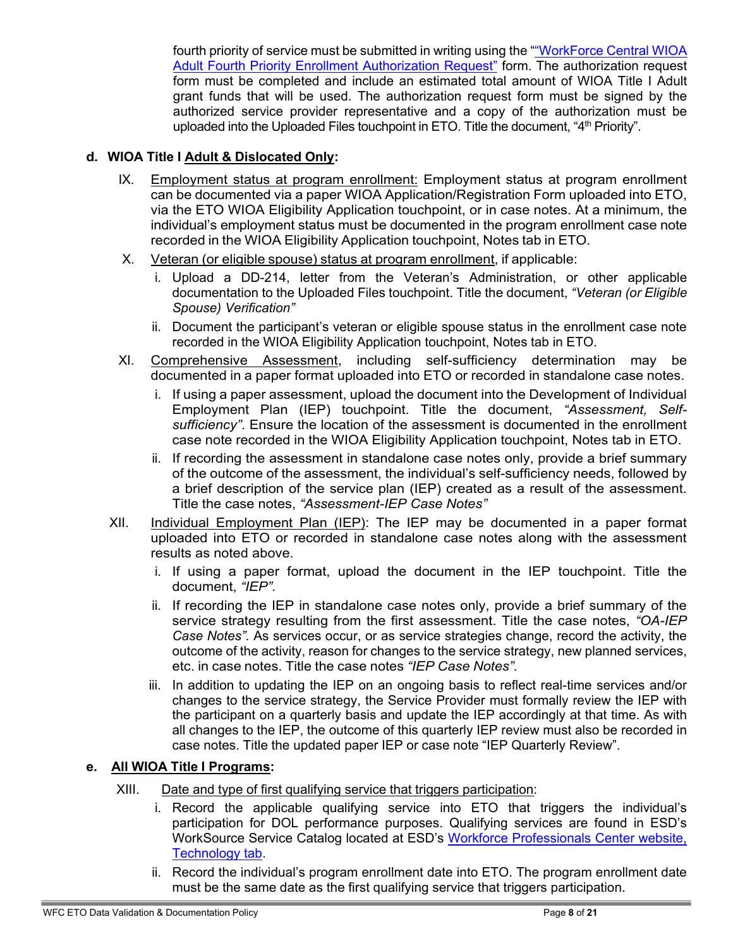fourth priority of service must be submitted in writing using the [""WorkForce](https://workforce-central.org/wp-content/uploads/2021/07/adult-4th-priority-authorization-form.pdf) Central WIOA [Adult Fourth Priority Enrollment Authorization Request"](https://workforce-central.org/wp-content/uploads/2021/07/adult-4th-priority-authorization-form.pdf) form. The authorization request form must be completed and include an estimated total amount of WIOA Title I Adult grant funds that will be used. The authorization request form must be signed by the authorized service provider representative and a copy of the authorization must be uploaded into the Uploaded Files touchpoint in ETO. Title the document, "4<sup>th</sup> Priority".

## **d. WIOA Title I Adult & Dislocated Only:**

- IX. Employment status at program enrollment: Employment status at program enrollment can be documented via a paper WIOA Application/Registration Form uploaded into ETO, via the ETO WIOA Eligibility Application touchpoint, or in case notes. At a minimum, the individual's employment status must be documented in the program enrollment case note recorded in the WIOA Eligibility Application touchpoint, Notes tab in ETO.
- X. Veteran (or eligible spouse) status at program enrollment, if applicable:
	- i. Upload a DD-214, letter from the Veteran's Administration, or other applicable documentation to the Uploaded Files touchpoint. Title the document, *"Veteran (or Eligible Spouse) Verification"*
	- ii. Document the participant's veteran or eligible spouse status in the enrollment case note recorded in the WIOA Eligibility Application touchpoint, Notes tab in ETO.
- XI. Comprehensive Assessment, including self-sufficiency determination may be documented in a paper format uploaded into ETO or recorded in standalone case notes.
	- i. If using a paper assessment, upload the document into the Development of Individual Employment Plan (IEP) touchpoint. Title the document, *"Assessment, Selfsufficiency"*. Ensure the location of the assessment is documented in the enrollment case note recorded in the WIOA Eligibility Application touchpoint, Notes tab in ETO.
	- ii. If recording the assessment in standalone case notes only, provide a brief summary of the outcome of the assessment, the individual's self-sufficiency needs, followed by a brief description of the service plan (IEP) created as a result of the assessment. Title the case notes, *"Assessment-IEP Case Notes"*
- XII. Individual Employment Plan (IEP): The IEP may be documented in a paper format uploaded into ETO or recorded in standalone case notes along with the assessment results as noted above.
	- i. If using a paper format, upload the document in the IEP touchpoint. Title the document, *"IEP".*
	- ii. If recording the IEP in standalone case notes only, provide a brief summary of the service strategy resulting from the first assessment. Title the case notes, *"OA-IEP Case Notes".* As services occur, or as service strategies change, record the activity, the outcome of the activity, reason for changes to the service strategy, new planned services, etc. in case notes. Title the case notes *"IEP Case Notes".*
	- iii. In addition to updating the IEP on an ongoing basis to reflect real-time services and/or changes to the service strategy, the Service Provider must formally review the IEP with the participant on a quarterly basis and update the IEP accordingly at that time. As with all changes to the IEP, the outcome of this quarterly IEP review must also be recorded in case notes. Title the updated paper IEP or case note "IEP Quarterly Review".

## **e. All WIOA Title I Programs:**

- XIII. Date and type of first qualifying service that triggers participation:
	- i. Record the applicable qualifying service into ETO that triggers the individual's participation for DOL performance purposes. Qualifying services are found in ESD's WorkSource Service Catalog located at ESD's [Workforce Professionals Center website,](https://wpc.wa.gov/tech) [Technology tab.](https://wpc.wa.gov/tech)
	- ii. Record the individual's program enrollment date into ETO. The program enrollment date must be the same date as the first qualifying service that triggers participation.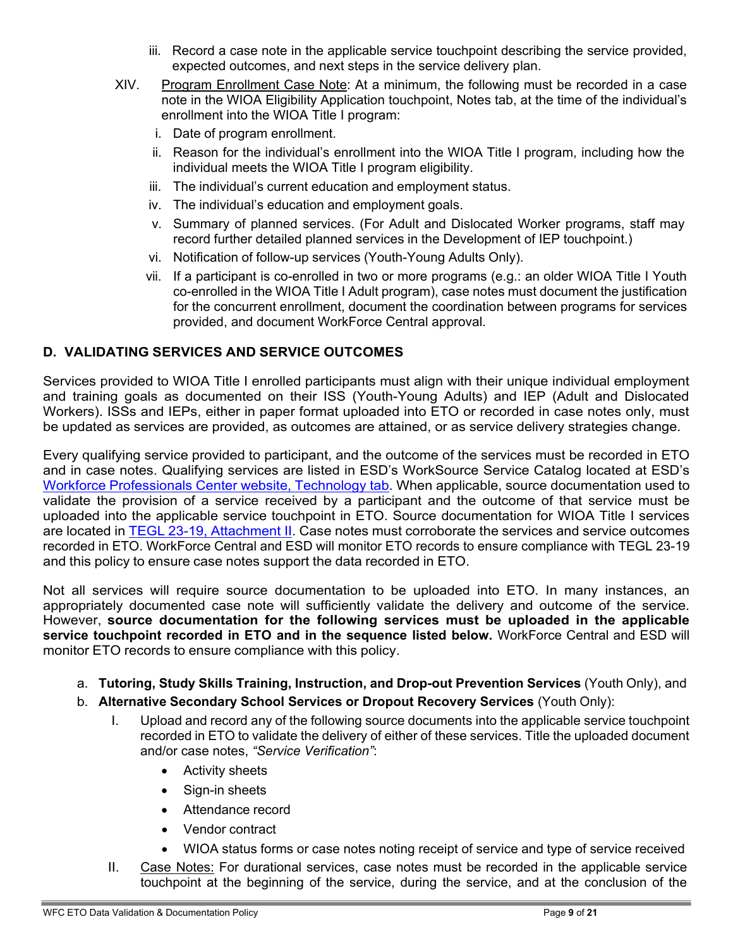- iii. Record a case note in the applicable service touchpoint describing the service provided, expected outcomes, and next steps in the service delivery plan.
- XIV. Program Enrollment Case Note: At a minimum, the following must be recorded in a case note in the WIOA Eligibility Application touchpoint, Notes tab, at the time of the individual's enrollment into the WIOA Title I program:
	- i. Date of program enrollment.
	- ii. Reason for the individual's enrollment into the WIOA Title I program, including how the individual meets the WIOA Title I program eligibility.
	- iii. The individual's current education and employment status.
	- iv. The individual's education and employment goals.
	- v. Summary of planned services. (For Adult and Dislocated Worker programs, staff may record further detailed planned services in the Development of IEP touchpoint.)
	- vi. Notification of follow-up services (Youth-Young Adults Only).
	- vii. If a participant is co-enrolled in two or more programs (e.g.: an older WIOA Title I Youth co-enrolled in the WIOA Title I Adult program), case notes must document the justification for the concurrent enrollment, document the coordination between programs for services provided, and document WorkForce Central approval.

# **D. VALIDATING SERVICES AND SERVICE OUTCOMES**

Services provided to WIOA Title I enrolled participants must align with their unique individual employment and training goals as documented on their ISS (Youth-Young Adults) and IEP (Adult and Dislocated Workers). ISSs and IEPs, either in paper format uploaded into ETO or recorded in case notes only, must be updated as services are provided, as outcomes are attained, or as service delivery strategies change.

Every qualifying service provided to participant, and the outcome of the services must be recorded in ETO and in case notes. Qualifying services are listed in ESD's WorkSource Service Catalog located at ESD's Workforce [Professionals](https://wpc.wa.gov/tech) Center website, Technology tab. When applicable, source documentation used to validate the provision of a service received by a participant and the outcome of that service must be uploaded into the applicable service touchpoint in ETO. Source documentation for WIOA Title I services are located in TEGL 23-19, [Attachment](https://wdr.doleta.gov/directives/attach/TEGL/TEGL_23-19_Attachment_2.pdf) II. Case notes must corroborate the services and service outcomes recorded in ETO. WorkForce Central and ESD will monitor ETO records to ensure compliance with TEGL 23-19 and this policy to ensure case notes support the data recorded in ETO.

Not all services will require source documentation to be uploaded into ETO. In many instances, an appropriately documented case note will sufficiently validate the delivery and outcome of the service. However, **source documentation for the following services must be uploaded in the applicable service touchpoint recorded in ETO and in the sequence listed below.** WorkForce Central and ESD will monitor ETO records to ensure compliance with this policy.

- a. **Tutoring, Study Skills Training, Instruction, and Drop-out Prevention Services** (Youth Only), and
- b. **Alternative Secondary School Services or Dropout Recovery Services** (Youth Only):
	- I. Upload and record any of the following source documents into the applicable service touchpoint recorded in ETO to validate the delivery of either of these services. Title the uploaded document and/or case notes, *"Service Verification"*:
		- Activity sheets
		- Sign-in sheets
		- Attendance record
		- Vendor contract
		- WIOA status forms or case notes noting receipt of service and type of service received
	- II. Case Notes: For durational services, case notes must be recorded in the applicable service touchpoint at the beginning of the service, during the service, and at the conclusion of the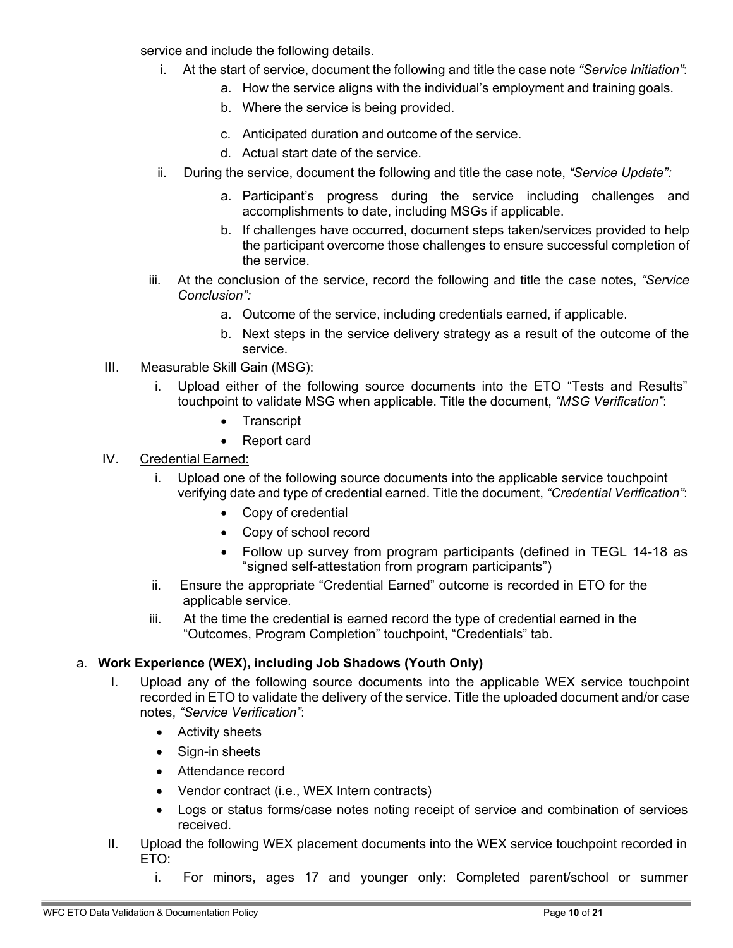service and include the following details.

- i. At the start of service, document the following and title the case note *"Service Initiation"*:
	- a. How the service aligns with the individual's employment and training goals.
	- b. Where the service is being provided.
	- c. Anticipated duration and outcome of the service.
	- d. Actual start date of the service.
- ii. During the service, document the following and title the case note, *"Service Update":*
	- a. Participant's progress during the service including challenges and accomplishments to date, including MSGs if applicable.
	- b. If challenges have occurred, document steps taken/services provided to help the participant overcome those challenges to ensure successful completion of the service.
- iii. At the conclusion of the service, record the following and title the case notes, *"Service Conclusion":*
	- a. Outcome of the service, including credentials earned, if applicable.
	- b. Next steps in the service delivery strategy as a result of the outcome of the service.

### III. Measurable Skill Gain (MSG):

- i. Upload either of the following source documents into the ETO "Tests and Results" touchpoint to validate MSG when applicable. Title the document, *"MSG Verification"*:
	- **Transcript**
	- Report card

#### IV. Credential Earned:

- i. Upload one of the following source documents into the applicable service touchpoint verifying date and type of credential earned. Title the document, *"Credential Verification"*:
	- Copy of credential
	- Copy of school record
	- Follow up survey from program participants (defined in TEGL 14-18 as "signed self-attestation from program participants")
- ii. Ensure the appropriate "Credential Earned" outcome is recorded in ETO for the applicable service.
- iii. At the time the credential is earned record the type of credential earned in the "Outcomes, Program Completion" touchpoint, "Credentials" tab.

#### a. **Work Experience (WEX), including Job Shadows (Youth Only)**

- I. Upload any of the following source documents into the applicable WEX service touchpoint recorded in ETO to validate the delivery of the service. Title the uploaded document and/or case notes, *"Service Verification"*:
	- Activity sheets
	- Sign-in sheets
	- Attendance record
	- Vendor contract (i.e., WEX Intern contracts)
	- Logs or status forms/case notes noting receipt of service and combination of services received.
- II. Upload the following WEX placement documents into the WEX service touchpoint recorded in ETO:
	- i. For minors, ages 17 and younger only: Completed parent/school or summer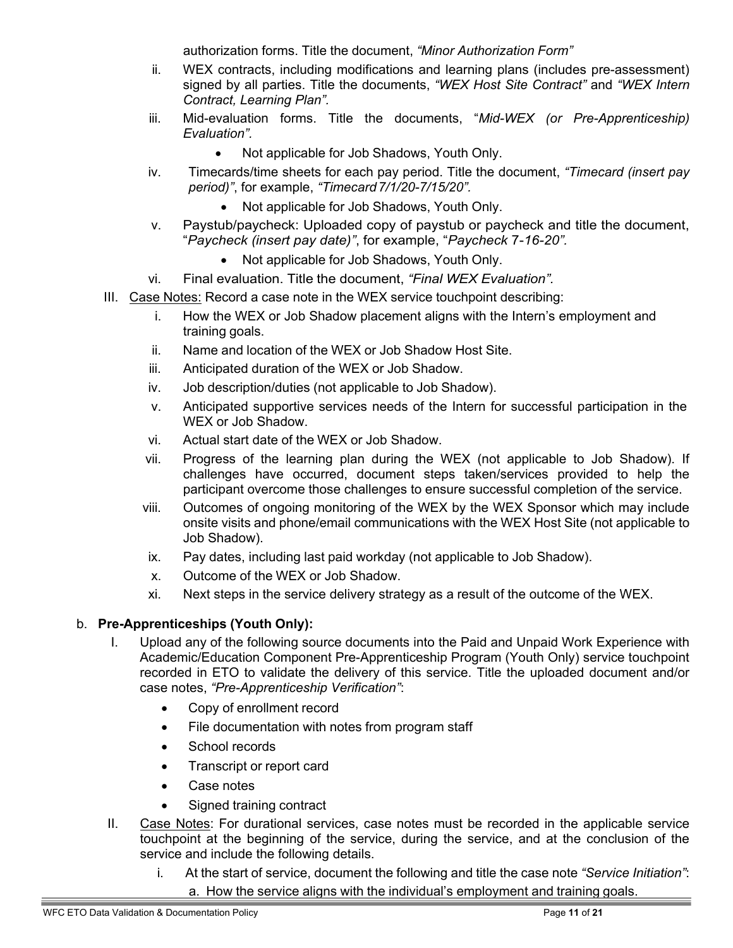authorization forms. Title the document, *"Minor Authorization Form"*

- ii. WEX contracts, including modifications and learning plans (includes pre-assessment) signed by all parties. Title the documents, *"WEX Host Site Contract"* and *"WEX Intern Contract, Learning Plan".*
- iii. Mid-evaluation forms. Title the documents, "*Mid-WEX (or Pre-Apprenticeship) Evaluation".*
	- Not applicable for Job Shadows, Youth Only.
- iv. Timecards/time sheets for each pay period. Title the document, *"Timecard (insert pay period)"*, for example, *"Timecard7/1/20-7/15/20".*
	- Not applicable for Job Shadows, Youth Only.
- v. Paystub/paycheck: Uploaded copy of paystub or paycheck and title the document, "*Paycheck (insert pay date)"*, for example, "*Paycheck* 7-*16-20".*
	- Not applicable for Job Shadows, Youth Only.
- vi. Final evaluation. Title the document, *"Final WEX Evaluation".*
- III. Case Notes: Record a case note in the WEX service touchpoint describing:
	- i. How the WEX or Job Shadow placement aligns with the Intern's employment and training goals.
	- ii. Name and location of the WEX or Job Shadow Host Site.
	- iii. Anticipated duration of the WEX or Job Shadow.
	- iv. Job description/duties (not applicable to Job Shadow).
	- v. Anticipated supportive services needs of the Intern for successful participation in the WEX or Job Shadow.
	- vi. Actual start date of the WEX or Job Shadow.
	- vii. Progress of the learning plan during the WEX (not applicable to Job Shadow). If challenges have occurred, document steps taken/services provided to help the participant overcome those challenges to ensure successful completion of the service.
	- viii. Outcomes of ongoing monitoring of the WEX by the WEX Sponsor which may include onsite visits and phone/email communications with the WEX Host Site (not applicable to Job Shadow).
	- ix. Pay dates, including last paid workday (not applicable to Job Shadow).
	- x. Outcome of the WEX or Job Shadow.
	- xi. Next steps in the service delivery strategy as a result of the outcome of the WEX.

### b. **Pre-Apprenticeships (Youth Only):**

- I. Upload any of the following source documents into the Paid and Unpaid Work Experience with Academic/Education Component Pre-Apprenticeship Program (Youth Only) service touchpoint recorded in ETO to validate the delivery of this service. Title the uploaded document and/or case notes, *"Pre-Apprenticeship Verification"*:
	- Copy of enrollment record
	- File documentation with notes from program staff
	- School records
	- Transcript or report card
	- Case notes
	- Signed training contract
- II. Case Notes: For durational services, case notes must be recorded in the applicable service touchpoint at the beginning of the service, during the service, and at the conclusion of the service and include the following details.
	- i. At the start of service, document the following and title the case note *"Service Initiation"*: a. How the service aligns with the individual's employment and training goals.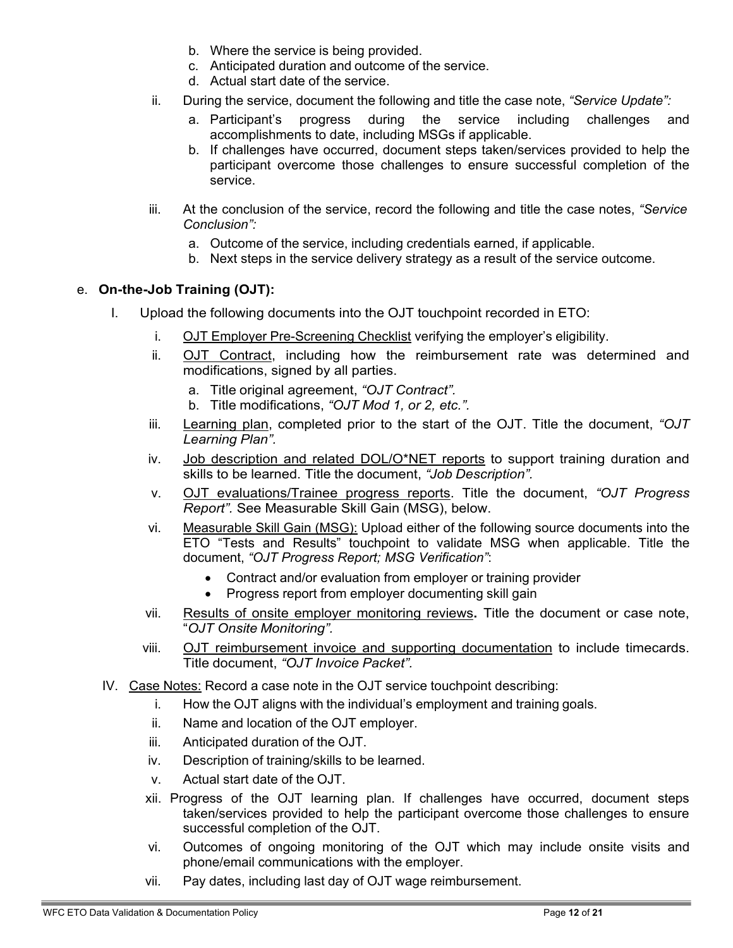- b. Where the service is being provided.
- c. Anticipated duration and outcome of the service.
- d. Actual start date of the service.
- ii. During the service, document the following and title the case note, *"Service Update":*
	- a. Participant's progress during the service including challenges and accomplishments to date, including MSGs if applicable.
	- b. If challenges have occurred, document steps taken/services provided to help the participant overcome those challenges to ensure successful completion of the service.
- iii. At the conclusion of the service, record the following and title the case notes, *"Service Conclusion":*
	- a. Outcome of the service, including credentials earned, if applicable.
	- b. Next steps in the service delivery strategy as a result of the service outcome.

### e. **On-the-Job Training (OJT):**

- I. Upload the following documents into the OJT touchpoint recorded in ETO:
	- i. OJT Employer Pre-Screening Checklist verifying the employer's eligibility.
	- ii. **OJT Contract**, including how the reimbursement rate was determined and modifications, signed by all parties.
		- a. Title original agreement, *"OJT Contract".*
		- b. Title modifications, *"OJT Mod 1, or 2, etc.".*
	- iii. Learning plan, completed prior to the start of the OJT. Title the document, *"OJT Learning Plan".*
	- iv. Job description and related DOL/O\*NET reports to support training duration and skills to be learned. Title the document, *"Job Description".*
	- v. OJT evaluations/Trainee progress reports. Title the document, *"OJT Progress Report".* See Measurable Skill Gain (MSG), below.
	- vi. Measurable Skill Gain (MSG): Upload either of the following source documents into the ETO "Tests and Results" touchpoint to validate MSG when applicable. Title the document, *"OJT Progress Report; MSG Verification"*:
		- Contract and/or evaluation from employer or training provider
		- Progress report from employer documenting skill gain
	- vii. Results of onsite employer monitoring reviews**.** Title the document or case note, "*OJT Onsite Monitoring".*
	- viii. OJT reimbursement invoice and supporting documentation to include timecards. Title document, *"OJT Invoice Packet".*
- IV. Case Notes: Record a case note in the OJT service touchpoint describing:
	- i. How the OJT aligns with the individual's employment and training goals.
	- ii. Name and location of the OJT employer.
	- iii. Anticipated duration of the OJT.
	- iv. Description of training/skills to be learned.
	- v. Actual start date of the OJT.
	- xii. Progress of the OJT learning plan. If challenges have occurred, document steps taken/services provided to help the participant overcome those challenges to ensure successful completion of the OJT.
	- vi. Outcomes of ongoing monitoring of the OJT which may include onsite visits and phone/email communications with the employer.
	- vii. Pay dates, including last day of OJT wage reimbursement.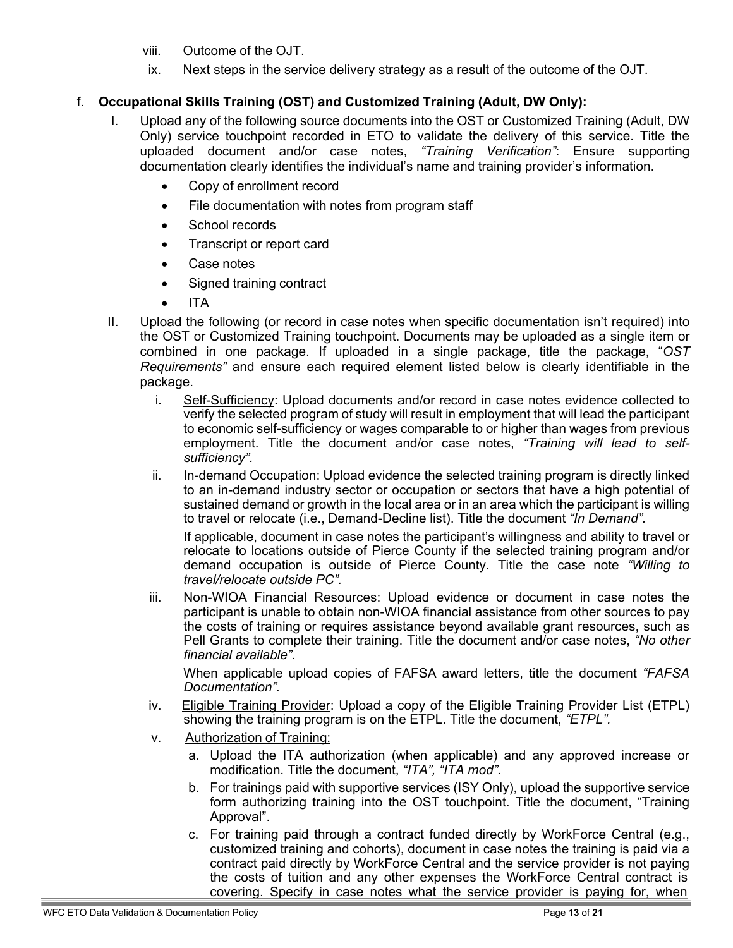- viii. Outcome of the OJT.
- ix. Next steps in the service delivery strategy as a result of the outcome of the OJT.

## f. **Occupational Skills Training (OST) and Customized Training (Adult, DW Only):**

- I. Upload any of the following source documents into the OST or Customized Training (Adult, DW Only) service touchpoint recorded in ETO to validate the delivery of this service. Title the uploaded document and/or case notes, *"Training Verification"*: Ensure supporting documentation clearly identifies the individual's name and training provider's information.
	- Copy of enrollment record
	- File documentation with notes from program staff
	- School records
	- Transcript or report card
	- Case notes
	- Signed training contract
	- ITA
- II. Upload the following (or record in case notes when specific documentation isn't required) into the OST or Customized Training touchpoint. Documents may be uploaded as a single item or combined in one package. If uploaded in a single package, title the package, "*OST Requirements"* and ensure each required element listed below is clearly identifiable in the package.
	- i. Self-Sufficiency: Upload documents and/or record in case notes evidence collected to verify the selected program of study will result in employment that will lead the participant to economic self-sufficiency or wages comparable to or higher than wages from previous employment. Title the document and/or case notes, *"Training will lead to selfsufficiency".*
	- ii. In-demand Occupation: Upload evidence the selected training program is directly linked to an in-demand industry sector or occupation or sectors that have a high potential of sustained demand or growth in the local area or in an area which the participant is willing to travel or relocate (i.e., Demand-Decline list). Title the document *"In Demand".*

If applicable, document in case notes the participant's willingness and ability to travel or relocate to locations outside of Pierce County if the selected training program and/or demand occupation is outside of Pierce County. Title the case note *"Willing to travel/relocate outside PC".*

iii. Non-WIOA Financial Resources: Upload evidence or document in case notes the participant is unable to obtain non-WIOA financial assistance from other sources to pay the costs of training or requires assistance beyond available grant resources, such as Pell Grants to complete their training. Title the document and/or case notes, *"No other financial available".*

When applicable upload copies of FAFSA award letters, title the document *"FAFSA Documentation".*

- iv. Eligible Training Provider: Upload a copy of the Eligible Training Provider List (ETPL) showing the training program is on the ETPL. Title the document, *"ETPL".*
- v. Authorization of Training:
	- a. Upload the ITA authorization (when applicable) and any approved increase or modification. Title the document, *"ITA", "ITA mod".*
	- b. For trainings paid with supportive services (ISY Only), upload the supportive service form authorizing training into the OST touchpoint. Title the document, "Training Approval".
	- c. For training paid through a contract funded directly by WorkForce Central (e.g., customized training and cohorts), document in case notes the training is paid via a contract paid directly by WorkForce Central and the service provider is not paying the costs of tuition and any other expenses the WorkForce Central contract is covering. Specify in case notes what the service provider is paying for, when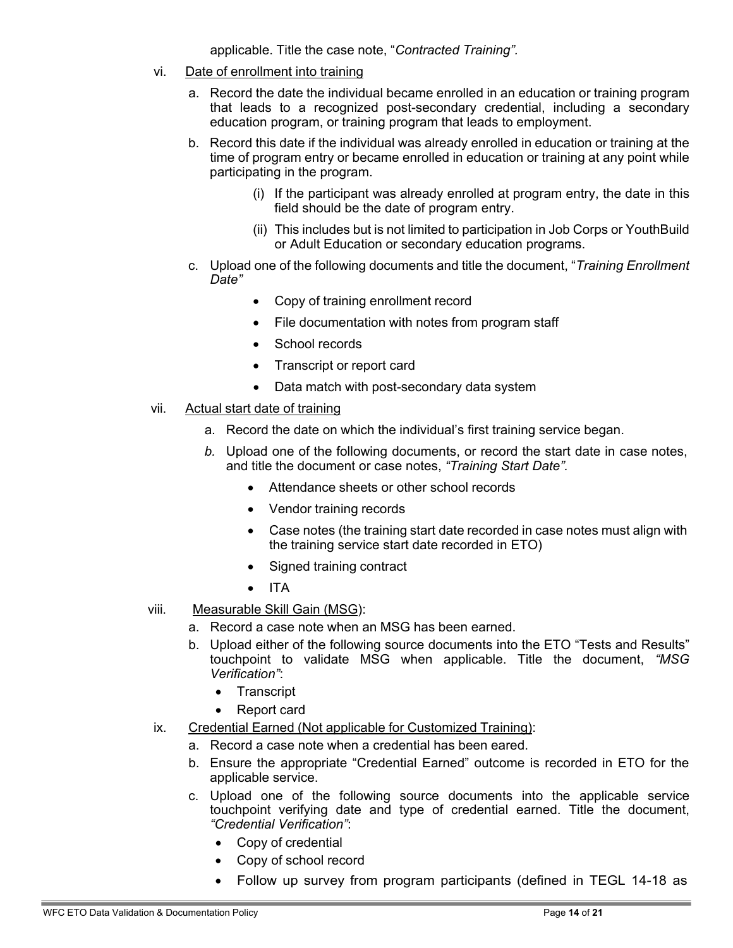applicable. Title the case note, "*Contracted Training".*

- vi. Date of enrollment into training
	- a. Record the date the individual became enrolled in an education or training program that leads to a recognized post-secondary credential, including a secondary education program, or training program that leads to employment.
	- b. Record this date if the individual was already enrolled in education or training at the time of program entry or became enrolled in education or training at any point while participating in the program.
		- (i) If the participant was already enrolled at program entry, the date in this field should be the date of program entry.
		- (ii) This includes but is not limited to participation in Job Corps or YouthBuild or Adult Education or secondary education programs.
	- c. Upload one of the following documents and title the document, "*Training Enrollment Date"*
		- Copy of training enrollment record
		- File documentation with notes from program staff
		- School records
		- Transcript or report card
		- Data match with post-secondary data system
- vii. Actual start date of training
	- a. Record the date on which the individual's first training service began.
	- *b.* Upload one of the following documents, or record the start date in case notes, and title the document or case notes, *"Training Start Date".*
		- Attendance sheets or other school records
		- Vendor training records
		- Case notes (the training start date recorded in case notes must align with the training service start date recorded in ETO)
		- Signed training contract
		- ITA
- viii. Measurable Skill Gain (MSG):
	- a. Record a case note when an MSG has been earned.
	- b. Upload either of the following source documents into the ETO "Tests and Results" touchpoint to validate MSG when applicable. Title the document, *"MSG Verification"*:
		- Transcript
		- Report card
- ix. Credential Earned (Not applicable for Customized Training):
	- a. Record a case note when a credential has been eared.
	- b. Ensure the appropriate "Credential Earned" outcome is recorded in ETO for the applicable service.
	- c. Upload one of the following source documents into the applicable service touchpoint verifying date and type of credential earned. Title the document, *"Credential Verification"*:
		- Copy of credential
		- Copy of school record
		- Follow up survey from program participants (defined in TEGL 14-18 as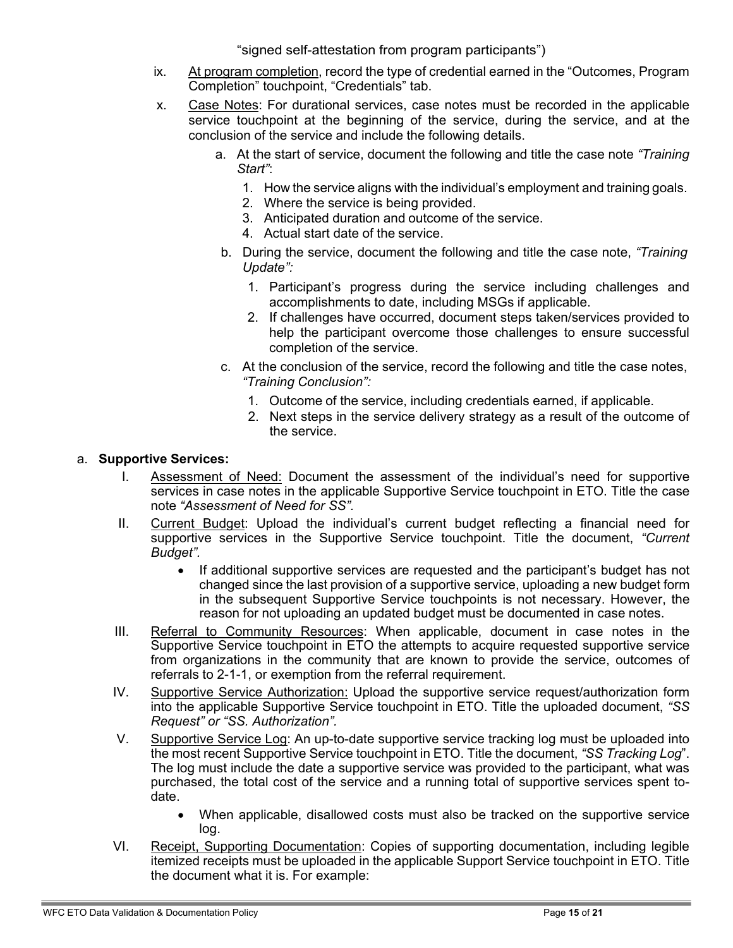"signed self-attestation from program participants")

- ix. At program completion, record the type of credential earned in the "Outcomes, Program Completion" touchpoint, "Credentials" tab.
- x. Case Notes: For durational services, case notes must be recorded in the applicable service touchpoint at the beginning of the service, during the service, and at the conclusion of the service and include the following details.
	- a. At the start of service, document the following and title the case note *"Training Start"*:
		- 1. How the service aligns with the individual's employment and training goals.
		- 2. Where the service is being provided.
		- 3. Anticipated duration and outcome of the service.
		- 4. Actual start date of the service.
	- b. During the service, document the following and title the case note, *"Training Update":*
		- 1. Participant's progress during the service including challenges and accomplishments to date, including MSGs if applicable.
		- 2. If challenges have occurred, document steps taken/services provided to help the participant overcome those challenges to ensure successful completion of the service.
	- c. At the conclusion of the service, record the following and title the case notes, *"Training Conclusion":*
		- 1. Outcome of the service, including credentials earned, if applicable.
		- 2. Next steps in the service delivery strategy as a result of the outcome of the service.

#### a. **Supportive Services:**

- I. Assessment of Need: Document the assessment of the individual's need for supportive services in case notes in the applicable Supportive Service touchpoint in ETO. Title the case note *"Assessment of Need for SS".*
- II. Current Budget: Upload the individual's current budget reflecting a financial need for supportive services in the Supportive Service touchpoint. Title the document, *"Current Budget".*
	- If additional supportive services are requested and the participant's budget has not changed since the last provision of a supportive service, uploading a new budget form in the subsequent Supportive Service touchpoints is not necessary. However, the reason for not uploading an updated budget must be documented in case notes.
- III. Referral to Community Resources: When applicable, document in case notes in the Supportive Service touchpoint in ETO the attempts to acquire requested supportive service from organizations in the community that are known to provide the service, outcomes of referrals to 2-1-1, or exemption from the referral requirement.
- IV. Supportive Service Authorization: Upload the supportive service request/authorization form into the applicable Supportive Service touchpoint in ETO. Title the uploaded document, *"SS Request" or "SS. Authorization".*
- V. Supportive Service Log: An up-to-date supportive service tracking log must be uploaded into the most recent Supportive Service touchpoint in ETO. Title the document, *"SS Tracking Log*". The log must include the date a supportive service was provided to the participant, what was purchased, the total cost of the service and a running total of supportive services spent todate.
	- When applicable, disallowed costs must also be tracked on the supportive service log.
- VI. Receipt, Supporting Documentation: Copies of supporting documentation, including legible itemized receipts must be uploaded in the applicable Support Service touchpoint in ETO. Title the document what it is. For example: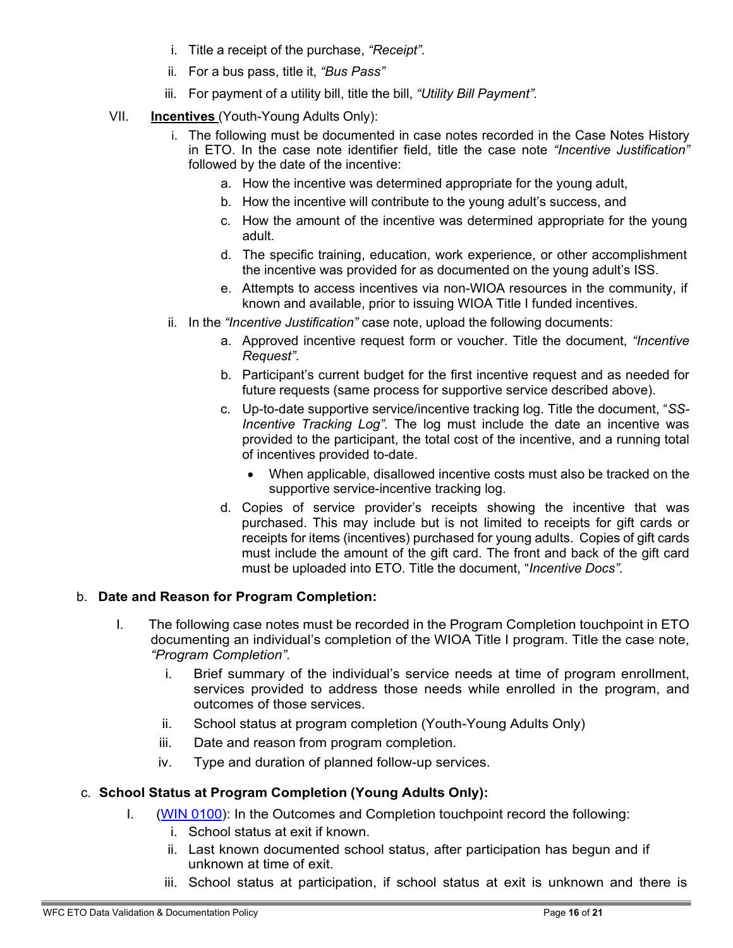- i. Title a receipt of the purchase, *"Receipt".*
- ii. For a bus pass, title it, *"Bus Pass"*
- iii. For payment of a utility bill, title the bill, *"Utility Bill Payment".*
- VII. **Incentives** (Youth-Young Adults Only):
	- i. The following must be documented in case notes recorded in the Case Notes History in ETO. In the case note identifier field, title the case note *"Incentive Justification"* followed by the date of the incentive:
		- a. How the incentive was determined appropriate for the young adult,
		- b. How the incentive will contribute to the young adult's success, and
		- c. How the amount of the incentive was determined appropriate for the young adult.
		- d. The specific training, education, work experience, or other accomplishment the incentive was provided for as documented on the young adult's ISS.
		- e. Attempts to access incentives via non-WIOA resources in the community, if known and available, prior to issuing WIOA Title I funded incentives.
	- ii. In the *"Incentive Justification"* case note, upload the following documents:
		- a. Approved incentive request form or voucher. Title the document, *"Incentive Request"*.
		- b. Participant's current budget for the first incentive request and as needed for future requests (same process for supportive service described above).
		- c. Up-to-date supportive service/incentive tracking log. Title the document, "*SS-Incentive Tracking Log".* The log must include the date an incentive was provided to the participant, the total cost of the incentive, and a running total of incentives provided to-date.
			- When applicable, disallowed incentive costs must also be tracked on the supportive service-incentive tracking log.
		- d. Copies of service provider's receipts showing the incentive that was purchased. This may include but is not limited to receipts for gift cards or receipts for items (incentives) purchased for young adults. Copies of gift cards must include the amount of the gift card. The front and back of the gift card must be uploaded into ETO. Title the document, "*Incentive Docs".*

#### b. **Date and Reason for Program Completion:**

- I. The following case notes must be recorded in the Program Completion touchpoint in ETO documenting an individual's completion of the WIOA Title I program. Title the case note, *"Program Completion".*
	- i. Brief summary of the individual's service needs at time of program enrollment, services provided to address those needs while enrolled in the program, and outcomes of those services.
	- ii. School status at program completion (Youth-Young Adults Only)
	- iii. Date and reason from program completion.
	- iv. Type and duration of planned follow-up services.

#### c. **School Status at Program Completion (Young Adults Only):**

- I. (WIN [0100\)](https://storemultisites.blob.core.windows.net/media/WPC/adm/policy/0100.pdf): In the Outcomes and Completion touchpoint record the following:
	- i. School status at exit if known.
	- ii. Last known documented school status, after participation has begun and if unknown at time of exit.
	- iii. School status at participation, if school status at exit is unknown and there is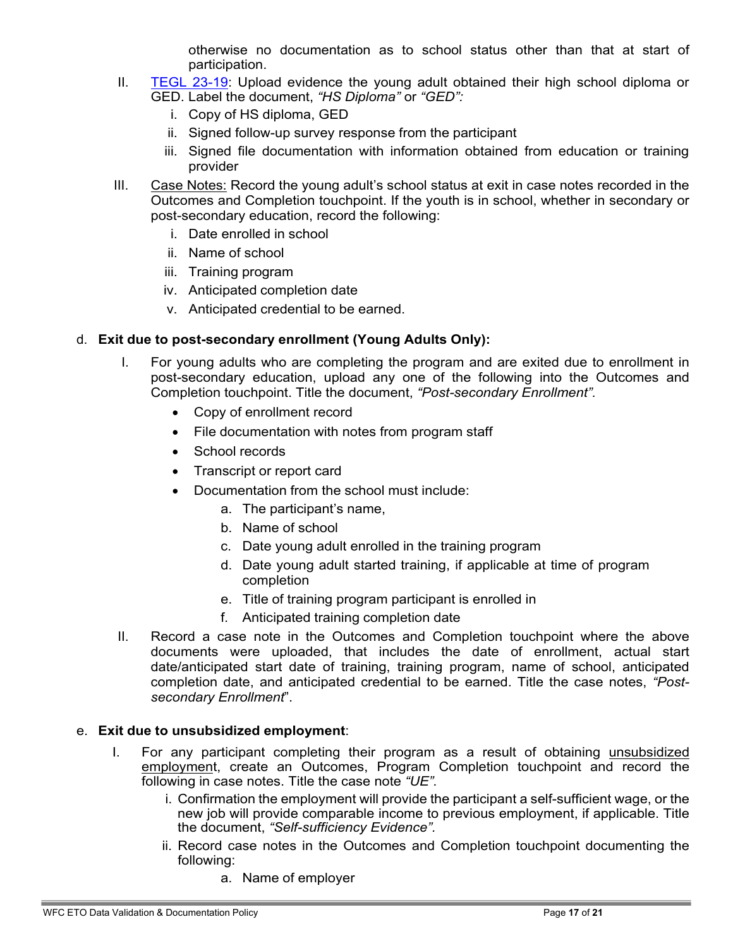otherwise no documentation as to school status other than that at start of participation.

- II. [TEGL 23-19:](https://wdr.doleta.gov/directives/attach/TEGL/TEGL_23-19_Attachment_2.pdf) Upload evidence the young adult obtained their high school diploma or GED. Label the document, *"HS Diploma"* or *"GED":*
	- i. Copy of HS diploma, GED
	- ii. Signed follow-up survey response from the participant
	- iii. Signed file documentation with information obtained from education or training provider
- III. Case Notes: Record the young adult's school status at exit in case notes recorded in the Outcomes and Completion touchpoint. If the youth is in school, whether in secondary or post-secondary education, record the following:
	- i. Date enrolled in school
	- ii. Name of school
	- iii. Training program
	- iv. Anticipated completion date
	- v. Anticipated credential to be earned.

### d. **Exit due to post-secondary enrollment (Young Adults Only):**

- I. For young adults who are completing the program and are exited due to enrollment in post-secondary education, upload any one of the following into the Outcomes and Completion touchpoint. Title the document, *"Post-secondary Enrollment".*
	- Copy of enrollment record
	- File documentation with notes from program staff
	- School records
	- Transcript or report card
	- Documentation from the school must include:
		- a. The participant's name,
		- b. Name of school
		- c. Date young adult enrolled in the training program
		- d. Date young adult started training, if applicable at time of program completion
		- e. Title of training program participant is enrolled in
		- f. Anticipated training completion date
- II. Record a case note in the Outcomes and Completion touchpoint where the above documents were uploaded, that includes the date of enrollment, actual start date/anticipated start date of training, training program, name of school, anticipated completion date, and anticipated credential to be earned. Title the case notes, *"Postsecondary Enrollment*".

#### e. **Exit due to unsubsidized employment**:

- I. For any participant completing their program as a result of obtaining unsubsidized employment, create an Outcomes, Program Completion touchpoint and record the following in case notes. Title the case note *"UE".*
	- i. Confirmation the employment will provide the participant a self-sufficient wage, or the new job will provide comparable income to previous employment, if applicable. Title the document, *"Self-sufficiency Evidence".*
	- ii. Record case notes in the Outcomes and Completion touchpoint documenting the following:
		- a. Name of employer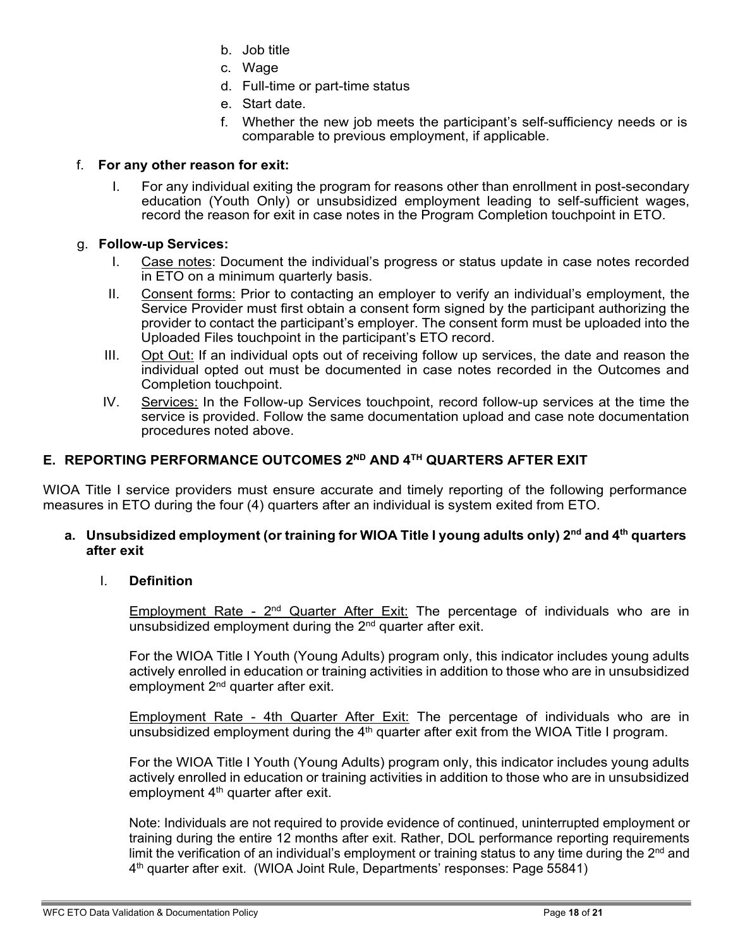- b. Job title
- c. Wage
- d. Full-time or part-time status
- e. Start date.
- f. Whether the new job meets the participant's self-sufficiency needs or is comparable to previous employment, if applicable.

# f. **For any other reason for exit:**

I. For any individual exiting the program for reasons other than enrollment in post-secondary education (Youth Only) or unsubsidized employment leading to self-sufficient wages, record the reason for exit in case notes in the Program Completion touchpoint in ETO.

## g. **Follow-up Services:**

- I. Case notes: Document the individual's progress or status update in case notes recorded in ETO on a minimum quarterly basis.
- II. Consent forms: Prior to contacting an employer to verify an individual's employment, the Service Provider must first obtain a consent form signed by the participant authorizing the provider to contact the participant's employer. The consent form must be uploaded into the Uploaded Files touchpoint in the participant's ETO record.
- III. Opt Out: If an individual opts out of receiving follow up services, the date and reason the individual opted out must be documented in case notes recorded in the Outcomes and Completion touchpoint.
- IV. Services: In the Follow-up Services touchpoint, record follow-up services at the time the service is provided. Follow the same documentation upload and case note documentation procedures noted above.

# **E. REPORTING PERFORMANCE OUTCOMES 2ND AND 4TH QUARTERS AFTER EXIT**

WIOA Title I service providers must ensure accurate and timely reporting of the following performance measures in ETO during the four (4) quarters after an individual is system exited from ETO.

#### **a. Unsubsidized employment (or training for WIOA Title I young adults only) 2nd and 4th quarters after exit**

### I. **Definition**

Employment Rate -  $2^{nd}$  Quarter After Exit: The percentage of individuals who are in unsubsidized employment during the  $2<sup>nd</sup>$  quarter after exit.

For the WIOA Title I Youth (Young Adults) program only, this indicator includes young adults actively enrolled in education or training activities in addition to those who are in unsubsidized employment 2<sup>nd</sup> quarter after exit.

Employment Rate - 4th Quarter After Exit: The percentage of individuals who are in unsubsidized employment during the  $4<sup>th</sup>$  quarter after exit from the WIOA Title I program.

For the WIOA Title I Youth (Young Adults) program only, this indicator includes young adults actively enrolled in education or training activities in addition to those who are in unsubsidized employment  $4<sup>th</sup>$  quarter after exit.

Note: Individuals are not required to provide evidence of continued, uninterrupted employment or training during the entire 12 months after exit. Rather, DOL performance reporting requirements limit the verification of an individual's employment or training status to any time during the  $2<sup>nd</sup>$  and 4th quarter after exit. (WIOA Joint Rule, Departments' responses: Page 55841)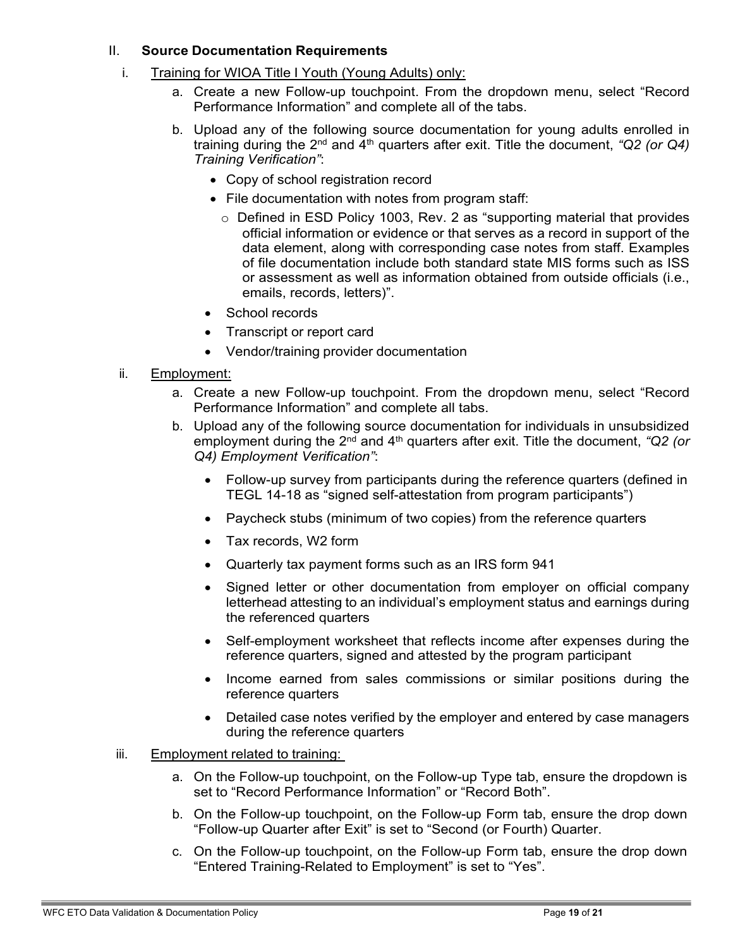#### II. **Source Documentation Requirements**

- i. Training for WIOA Title I Youth (Young Adults) only:
	- a. Create a new Follow-up touchpoint. From the dropdown menu, select "Record Performance Information" and complete all of the tabs.
	- b. Upload any of the following source documentation for young adults enrolled in training during the 2nd and 4th quarters after exit. Title the document, *"Q2 (or Q4) Training Verification"*:
		- Copy of school registration record
		- File documentation with notes from program staff:
			- o Defined in ESD Policy 1003, Rev. 2 as "supporting material that provides official information or evidence or that serves as a record in support of the data element, along with corresponding case notes from staff. Examples of file documentation include both standard state MIS forms such as ISS or assessment as well as information obtained from outside officials (i.e., emails, records, letters)".
		- School records
		- Transcript or report card
		- Vendor/training provider documentation
- ii. Employment:
	- a. Create a new Follow-up touchpoint. From the dropdown menu, select "Record Performance Information" and complete all tabs.
	- b. Upload any of the following source documentation for individuals in unsubsidized employment during the 2<sup>nd</sup> and 4<sup>th</sup> quarters after exit. Title the document, "Q2 (or *Q4) Employment Verification"*:
		- Follow-up survey from participants during the reference quarters (defined in TEGL 14-18 as "signed self-attestation from program participants")
		- Paycheck stubs (minimum of two copies) from the reference quarters
		- Tax records, W2 form
		- Quarterly tax payment forms such as an IRS form 941
		- Signed letter or other documentation from employer on official company letterhead attesting to an individual's employment status and earnings during the referenced quarters
		- Self-employment worksheet that reflects income after expenses during the reference quarters, signed and attested by the program participant
		- Income earned from sales commissions or similar positions during the reference quarters
		- Detailed case notes verified by the employer and entered by case managers during the reference quarters
- iii. Employment related to training:
	- a. On the Follow-up touchpoint, on the Follow-up Type tab, ensure the dropdown is set to "Record Performance Information" or "Record Both".
	- b. On the Follow-up touchpoint, on the Follow-up Form tab, ensure the drop down "Follow-up Quarter after Exit" is set to "Second (or Fourth) Quarter.
	- c. On the Follow-up touchpoint, on the Follow-up Form tab, ensure the drop down "Entered Training-Related to Employment" is set to "Yes".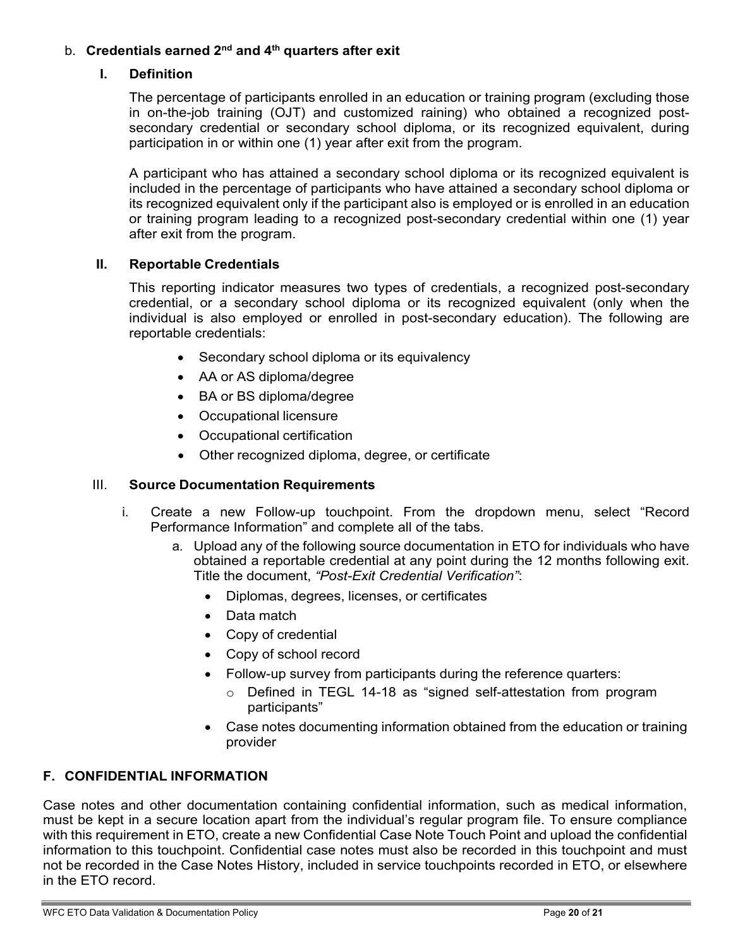# b. **Credentials earned 2nd and 4th quarters after exit**

#### **I. Definition**

The percentage of participants enrolled in an education or training program (excluding those in on-the-job training (OJT) and customized raining) who obtained a recognized postsecondary credential or secondary school diploma, or its recognized equivalent, during participation in or within one (1) year after exit from the program.

A participant who has attained a secondary school diploma or its recognized equivalent is included in the percentage of participants who have attained a secondary school diploma or its recognized equivalent only if the participant also is employed or is enrolled in an education or training program leading to a recognized post-secondary credential within one (1) year after exit from the program.

#### **II. Reportable Credentials**

This reporting indicator measures two types of credentials, a recognized post-secondary credential, or a secondary school diploma or its recognized equivalent (only when the individual is also employed or enrolled in post-secondary education). The following are reportable credentials:

- Secondary school diploma or its equivalency
- AA or AS diploma/degree
- BA or BS diploma/degree
- Occupational licensure
- Occupational certification
- Other recognized diploma, degree, or certificate

#### III. **Source Documentation Requirements**

- i. Create a new Follow-up touchpoint. From the dropdown menu, select "Record Performance Information" and complete all of the tabs.
	- a. Upload any of the following source documentation in ETO for individuals who have obtained a reportable credential at any point during the 12 months following exit. Title the document, *"Post-Exit Credential Verification"*:
		- Diplomas, degrees, licenses, or certificates
		- Data match
		- Copy of credential
		- Copy of school record
		- Follow-up survey from participants during the reference quarters:
			- o Defined in TEGL 14-18 as "signed self-attestation from program participants"
		- Case notes documenting information obtained from the education or training provider

#### **F. CONFIDENTIAL INFORMATION**

Case notes and other documentation containing confidential information, such as medical information, must be kept in a secure location apart from the individual's regular program file. To ensure compliance with this requirement in ETO, create a new Confidential Case Note Touch Point and upload the confidential information to this touchpoint. Confidential case notes must also be recorded in this touchpoint and must not be recorded in the Case Notes History, included in service touchpoints recorded in ETO, or elsewhere in the ETO record.